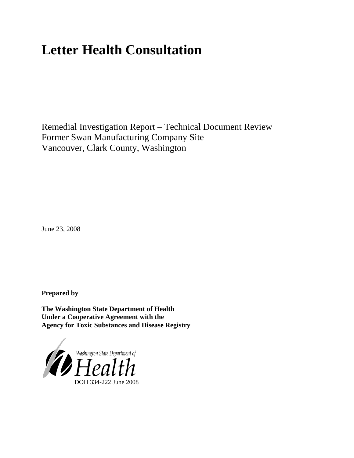# **Letter Health Consultation**

Remedial Investigation Report – Technical Document Review Former Swan Manufacturing Company Site Vancouver, Clark County, Washington

June 23, 2008

**Prepared by**

**The Washington State Department of Health Under a Cooperative Agreement with the Agency for Toxic Substances and Disease Registry**

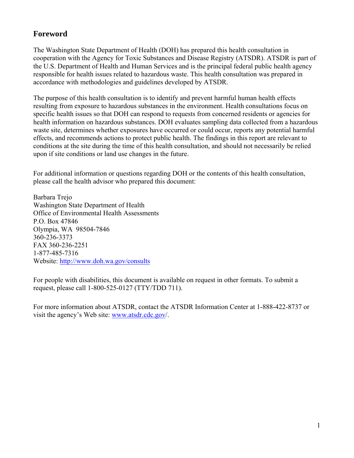## **Foreword**

The Washington State Department of Health (DOH) has prepared this health consultation in cooperation with the Agency for Toxic Substances and Disease Registry (ATSDR). ATSDR is part of the U.S. Department of Health and Human Services and is the principal federal public health agency responsible for health issues related to hazardous waste. This health consultation was prepared in accordance with methodologies and guidelines developed by ATSDR.

The purpose of this health consultation is to identify and prevent harmful human health effects resulting from exposure to hazardous substances in the environment. Health consultations focus on specific health issues so that DOH can respond to requests from concerned residents or agencies for health information on hazardous substances. DOH evaluates sampling data collected from a hazardous waste site, determines whether exposures have occurred or could occur, reports any potential harmful effects, and recommends actions to protect public health. The findings in this report are relevant to conditions at the site during the time of this health consultation, and should not necessarily be relied upon if site conditions or land use changes in the future.

For additional information or questions regarding DOH or the contents of this health consultation, please call the health advisor who prepared this document:

Barbara Trejo Washington State Department of Health Office of Environmental Health Assessments P.O. Box 47846 Olympia, WA 98504-7846 360-236-3373 FAX 360-236-2251 1-877-485-7316 Website: [http://www.doh.wa.gov/consults](www.doh.wa.gov/consults)

For people with disabilities, this document is available on request in other formats. To submit a request, please call 1-800-525-0127 (TTY/TDD 711).

For more information about ATSDR, contact the ATSDR Information Center at 1-888-422-8737 or visit the agency's Web site: www.atsdr.cdc.gov/.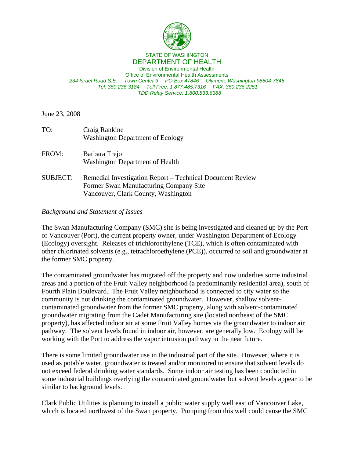

#### STATE OF WASHINGTON DEPARTMENT OF HEALTH

Division of Environmental Health Office of Environmental Health Assessments *234 Israel Road S.E. Town Center 3 PO Box 47846 Olympia, Washington 98504-7846 Tel: 360.236.3184 Toll Free: 1.877.485.7316 FAX: 360.236.2251 TDD Relay Service: 1.800.833.6388*

June 23, 2008

| TO:             | Craig Rankine<br><b>Washington Department of Ecology</b>                                                                                   |
|-----------------|--------------------------------------------------------------------------------------------------------------------------------------------|
| FROM:           | Barbara Trejo<br>Washington Department of Health                                                                                           |
| <b>SUBJECT:</b> | Remedial Investigation Report – Technical Document Review<br>Former Swan Manufacturing Company Site<br>Vancouver, Clark County, Washington |

#### *Background and Statement of Issues*

The Swan Manufacturing Company (SMC) site is being investigated and cleaned up by the Port of Vancouver (Port), the current property owner, under Washington Department of Ecology (Ecology) oversight. Releases of trichloroethylene (TCE), which is often contaminated with other chlorinated solvents (e.g., tetrachloroethylene (PCE)), occurred to soil and groundwater at the former SMC property.

The contaminated groundwater has migrated off the property and now underlies some industrial areas and a portion of the Fruit Valley neighborhood (a predominantly residential area), south of Fourth Plain Boulevard. The Fruit Valley neighborhood is connected to city water so the community is not drinking the contaminated groundwater. However, shallow solventcontaminated groundwater from the former SMC property, along with solvent-contaminated groundwater migrating from the Cadet Manufacturing site (located northeast of the SMC property), has affected indoor air at some Fruit Valley homes via the groundwater to indoor air pathway. The solvent levels found in indoor air, however, are generally low. Ecology will be working with the Port to address the vapor intrusion pathway in the near future.

There is some limited groundwater use in the industrial part of the site. However, where it is used as potable water, groundwater is treated and/or monitored to ensure that solvent levels do not exceed federal drinking water standards. Some indoor air testing has been conducted in some industrial buildings overlying the contaminated groundwater but solvent levels appear to be similar to background levels.

Clark Public Utilities is planning to install a public water supply well east of Vancouver Lake, which is located northwest of the Swan property. Pumping from this well could cause the SMC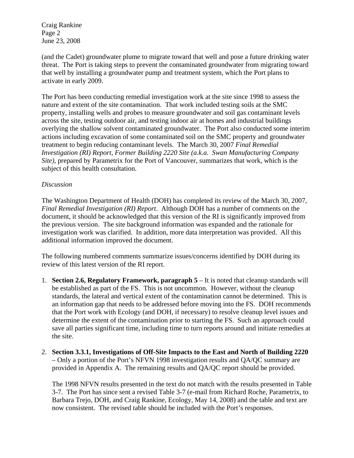Craig Rankine Page 2 June 23, 2008

(and the Cadet) groundwater plume to migrate toward that well and pose a future drinking water threat. The Port is taking steps to prevent the contaminated groundwater from migrating toward that well by installing a groundwater pump and treatment system, which the Port plans to activate in early 2009.

The Port has been conducting remedial investigation work at the site since 1998 to assess the nature and extent of the site contamination. That work included testing soils at the SMC property, installing wells and probes to measure groundwater and soil gas contaminant levels across the site, testing outdoor air, and testing indoor air at homes and industrial buildings overlying the shallow solvent contaminated groundwater. The Port also conducted some interim actions including excavation of some contaminated soil on the SMC property and groundwater treatment to begin reducing contaminant levels. The March 30, 2007 *Final Remedial Investigation (RI) Report, Former Building 2220 Site (a.k.a. Swan Manufacturing Company Site)*, prepared by Parametrix for the Port of Vancouver, summarizes that work, which is the subject of this health consultation.

#### *Discussion*

The Washington Department of Health (DOH) has completed its review of the March 30, 2007, *Final Remedial Investigation (RI) Report*. Although DOH has a number of comments on the document, it should be acknowledged that this version of the RI is significantly improved from the previous version. The site background information was expanded and the rationale for investigation work was clarified. In addition, more data interpretation was provided. All this additional information improved the document.

The following numbered comments summarize issues/concerns identified by DOH during its review of this latest version of the RI report.

- 1. **Section 2.6, Regulatory Framework, paragraph 5** It is noted that cleanup standards will be established as part of the FS. This is not uncommon. However, without the cleanup standards, the lateral and vertical extent of the contamination cannot be determined. This is an information gap that needs to be addressed before moving into the FS. DOH recommends that the Port work with Ecology (and DOH, if necessary) to resolve cleanup level issues and determine the extent of the contamination prior to starting the FS. Such an approach could save all parties significant time, including time to turn reports around and initiate remedies at the site.
- 2. **Section 3.3.1, Investigations of Off-Site Impacts to the East and North of Building 2220**  – Only a portion of the Port's NFVN 1998 investigation results and QA/QC summary are provided in Appendix A. The remaining results and QA/QC report should be provided.

The 1998 NFVN results presented in the text do not match with the results presented in Table 3-7. The Port has since sent a revised Table 3-7 (e-mail from Richard Roche, Parametrix, to Barbara Trejo, DOH, and Craig Rankine, Ecology, May 14, 2008) and the table and text are now consistent. The revised table should be included with the Port's responses.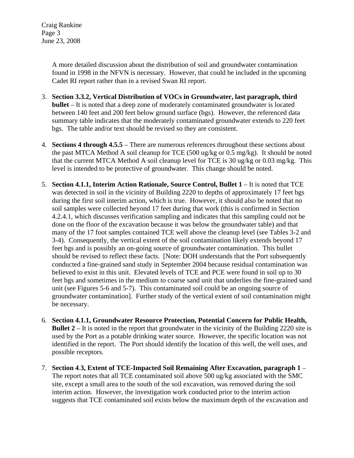Craig Rankine Page 3 June 23, 2008

> A more detailed discussion about the distribution of soil and groundwater contamination found in 1998 in the NFVN is necessary. However, that could be included in the upcoming Cadet RI report rather than in a revised Swan RI report.

- 3. **Section 3.3.2, Vertical Distribution of VOCs in Groundwater, last paragraph, third bullet** – It is noted that a deep zone of moderately contaminated groundwater is located between 140 feet and 200 feet below ground surface (bgs). However, the referenced data summary table indicates that the moderately contaminated groundwater extends to 220 feet bgs. The table and/or text should be revised so they are consistent.
- 4. **Sections 4 through 4.5.5** There are numerous references throughout these sections about the past MTCA Method A soil cleanup for TCE (500 ug/kg or 0.5 mg/kg). It should be noted that the current MTCA Method A soil cleanup level for TCE is 30 ug/kg or 0.03 mg/kg. This level is intended to be protective of groundwater. This change should be noted.
- 5. **Section 4.1.1, Interim Action Rationale, Source Control, Bullet 1** It is noted that TCE was detected in soil in the vicinity of Building 2220 to depths of approximately 17 feet bgs during the first soil interim action, which is true. However, it should also be noted that no soil samples were collected beyond 17 feet during that work (this is confirmed in Section 4.2.4.1, which discusses verification sampling and indicates that this sampling could not be done on the floor of the excavation because it was below the groundwater table) and that many of the 17 foot samples contained TCE well above the cleanup level (see Tables 3-2 and 3-4). Consequently, the vertical extent of the soil contamination likely extends beyond 17 feet bgs and is possibly an on-going source of groundwater contamination. This bullet should be revised to reflect these facts. [Note: DOH understands that the Port subsequently conducted a fine-grained sand study in September 2004 because residual contamination was believed to exist in this unit. Elevated levels of TCE and PCE were found in soil up to 30 feet bgs and sometimes in the medium to coarse sand unit that underlies the fine-grained sand unit (see Figures 5-6 and 5-7). This contaminated soil could be an ongoing source of groundwater contamination]. Further study of the vertical extent of soil contamination might be necessary.
- 6. **Section 4.1.1, Groundwater Resource Protection, Potential Concern for Public Health, Bullet 2** – It is noted in the report that groundwater in the vicinity of the Building 2220 site is used by the Port as a potable drinking water source. However, the specific location was not identified in the report. The Port should identify the location of this well, the well uses, and possible receptors.
- 7. **Section 4**.**3, Extent of TCE-Impacted Soil Remaining After Excavation, paragraph 1** The report notes that all TCE contaminated soil above 500 ug/kg associated with the SMC site, except a small area to the south of the soil excavation, was removed during the soil interim action. However, the investigation work conducted prior to the interim action suggests that TCE contaminated soil exists below the maximum depth of the excavation and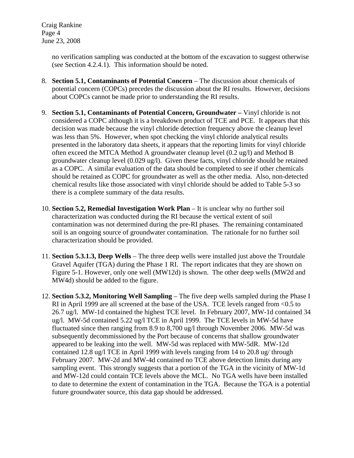Craig Rankine Page 4 June 23, 2008

> no verification sampling was conducted at the bottom of the excavation to suggest otherwise (see Section 4.2.4.1). This information should be noted.

- 8. **Section 5.1, Contaminants of Potential Concern**  The discussion about chemicals of potential concern (COPCs) precedes the discussion about the RI results. However, decisions about COPCs cannot be made prior to understanding the RI results.
- 9. **Section 5.1, Contaminants of Potential Concern, Groundwater** Vinyl chloride is not considered a COPC although it is a breakdown product of TCE and PCE. It appears that this decision was made because the vinyl chloride detection frequency above the cleanup level was less than 5%. However, when spot checking the vinyl chloride analytical results presented in the laboratory data sheets, it appears that the reporting limits for vinyl chloride often exceed the MTCA Method A groundwater cleanup level (0.2 ug/l) and Method B groundwater cleanup level (0.029 ug/l). Given these facts, vinyl chloride should be retained as a COPC. A similar evaluation of the data should be completed to see if other chemicals should be retained as COPC for groundwater as well as the other media. Also, non-detected chemical results like those associated with vinyl chloride should be added to Table 5-3 so there is a complete summary of the data results.
- 10. **Section 5.2, Remedial Investigation Work Plan** It is unclear why no further soil characterization was conducted during the RI because the vertical extent of soil contamination was not determined during the pre-RI phases. The remaining contaminated soil is an ongoing source of groundwater contamination. The rationale for no further soil characterization should be provided.
- 11. **Section 5.3.1.3, Deep Wells** The three deep wells were installed just above the Troutdale Gravel Aquifer (TGA) during the Phase 1 RI. The report indicates that they are shown on Figure 5-1. However, only one well (MW12d) is shown. The other deep wells (MW2d and MW4d) should be added to the figure.
- 12. **Section 5.3.2, Monitoring Well Sampling** The five deep wells sampled during the Phase I RI in April 1999 are all screened at the base of the USA. TCE levels ranged from <0.5 to 26.7 ug/l. MW-1d contained the highest TCE level. In February 2007, MW-1d contained 34 ug/l. MW-5d contained 5.22 ug/l TCE in April 1999. The TCE levels in MW-5d have fluctuated since then ranging from 8.9 to 8,700 ug/l through November 2006. MW-5d was subsequently decommissioned by the Port because of concerns that shallow groundwater appeared to be leaking into the well. MW-5d was replaced with MW-5dR. MW-12d contained 12.8 ug/l TCE in April 1999 with levels ranging from 14 to 20.8 ug/ through February 2007. MW-2d and MW-4d contained no TCE above detection limits during any sampling event. This strongly suggests that a portion of the TGA in the vicinity of MW-1d and MW-12d could contain TCE levels above the MCL. No TGA wells have been installed to date to determine the extent of contamination in the TGA. Because the TGA is a potential future groundwater source, this data gap should be addressed.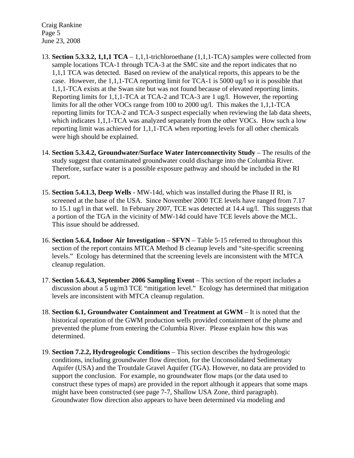Craig Rankine Page 5 June 23, 2008

- 13. **Section 5.3.3.2, 1,1,1 TCA** 1,1,1-trichloroethane (1,1,1-TCA) samples were collected from sample locations TCA-1 through TCA-3 at the SMC site and the report indicates that no 1,1,1 TCA was detected. Based on review of the analytical reports, this appears to be the case. However, the 1,1,1-TCA reporting limit for TCA-1 is 5000 ug/l so it is possible that 1,1,1-TCA exists at the Swan site but was not found because of elevated reporting limits. Reporting limits for 1,1,1-TCA at TCA-2 and TCA-3 are 1 ug/l. However, the reporting limits for all the other VOCs range from 100 to 2000 ug/l. This makes the 1,1,1-TCA reporting limits for TCA-2 and TCA-3 suspect especially when reviewing the lab data sheets, which indicates 1,1,1-TCA was analyzed separately from the other VOCs. How such a low reporting limit was achieved for 1,1,1-TCA when reporting levels for all other chemicals were high should be explained.
- 14. **Section 5.3.4.2, Groundwater/Surface Water Interconnectivity Study** The results of the study suggest that contaminated groundwater could discharge into the Columbia River. Therefore, surface water is a possible exposure pathway and should be included in the RI report.
- 15. **Section 5.4.1.3, Deep Wells** MW-14d, which was installed during the Phase II RI, is screened at the base of the USA. Since November 2000 TCE levels have ranged from 7.17 to 15.1 ug/l in that well. In February 2007, TCE was detected at 14.4 ug/l. This suggests that a portion of the TGA in the vicinity of MW-14d could have TCE levels above the MCL. This issue should be addressed.
- 16. **Section 5.6.4, Indoor Air Investigation SFVN** Table 5-15 referred to throughout this section of the report contains MTCA Method B cleanup levels and "site-specific screening levels." Ecology has determined that the screening levels are inconsistent with the MTCA cleanup regulation.
- 17. **Section 5.6.4.3, September 2006 Sampling Event** This section of the report includes a discussion about a 5 ug/m3 TCE "mitigation level." Ecology has determined that mitigation levels are inconsistent with MTCA cleanup regulation.
- 18. **Section 6.1, Groundwater Containment and Treatment at GWM** It is noted that the historical operation of the GWM production wells provided containment of the plume and prevented the plume from entering the Columbia River. Please explain how this was determined.
- 19. **Section 7.2.2, Hydrogeologic Conditions** This section describes the hydrogeologic conditions, including groundwater flow direction, for the Unconsolidated Sedimentary Aquifer (USA) and the Troutdale Gravel Aquifer (TGA). However, no data are provided to support the conclusion. For example, no groundwater flow maps (or the data used to construct these types of maps) are provided in the report although it appears that some maps might have been constructed (see page 7-7, Shallow USA Zone, third paragraph). Groundwater flow direction also appears to have been determined via modeling and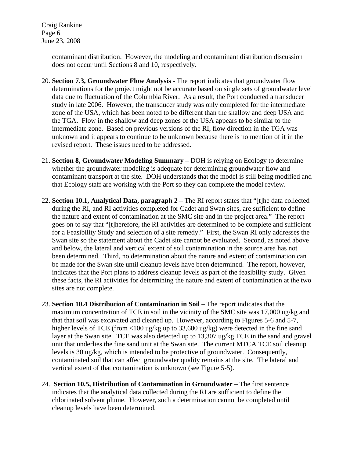Craig Rankine Page 6 June 23, 2008

> contaminant distribution. However, the modeling and contaminant distribution discussion does not occur until Sections 8 and 10, respectively.

- 20. **Section 7.3, Groundwater Flow Analysis** The report indicates that groundwater flow determinations for the project might not be accurate based on single sets of groundwater level data due to fluctuation of the Columbia River. As a result, the Port conducted a transducer study in late 2006. However, the transducer study was only completed for the intermediate zone of the USA, which has been noted to be different than the shallow and deep USA and the TGA. Flow in the shallow and deep zones of the USA appears to be similar to the intermediate zone. Based on previous versions of the RI, flow direction in the TGA was unknown and it appears to continue to be unknown because there is no mention of it in the revised report. These issues need to be addressed.
- 21. **Section 8, Groundwater Modeling Summary** DOH is relying on Ecology to determine whether the groundwater modeling is adequate for determining groundwater flow and contaminant transport at the site. DOH understands that the model is still being modified and that Ecology staff are working with the Port so they can complete the model review.
- 22. **Section 10.1, Analytical Data, paragraph 2** The RI report states that "[t]he data collected during the RI, and RI activities completed for Cadet and Swan sites, are sufficient to define the nature and extent of contamination at the SMC site and in the project area." The report goes on to say that "[t]herefore, the RI activities are determined to be complete and sufficient for a Feasibility Study and selection of a site remedy." First, the Swan RI only addresses the Swan site so the statement about the Cadet site cannot be evaluated. Second, as noted above and below, the lateral and vertical extent of soil contamination in the source area has not been determined. Third, no determination about the nature and extent of contamination can be made for the Swan site until cleanup levels have been determined. The report, however, indicates that the Port plans to address cleanup levels as part of the feasibility study. Given these facts, the RI activities for determining the nature and extent of contamination at the two sites are not complete.
- 23. **Section 10.4 Distribution of Contamination in Soil** The report indicates that the maximum concentration of TCE in soil in the vicinity of the SMC site was 17,000 ug/kg and that that soil was excavated and cleaned up. However, according to Figures 5-6 and 5-7, higher levels of TCE (from <100 ug/kg up to 33,600 ug/kg) were detected in the fine sand layer at the Swan site. TCE was also detected up to 13,307 ug/kg TCE in the sand and gravel unit that underlies the fine sand unit at the Swan site. The current MTCA TCE soil cleanup levels is 30 ug/kg, which is intended to be protective of groundwater. Consequently, contaminated soil that can affect groundwater quality remains at the site. The lateral and vertical extent of that contamination is unknown (see Figure 5-5).
- 24. **Section 10.5, Distribution of Contamination in Groundwater** The first sentence indicates that the analytical data collected during the RI are sufficient to define the chlorinated solvent plume. However, such a determination cannot be completed until cleanup levels have been determined.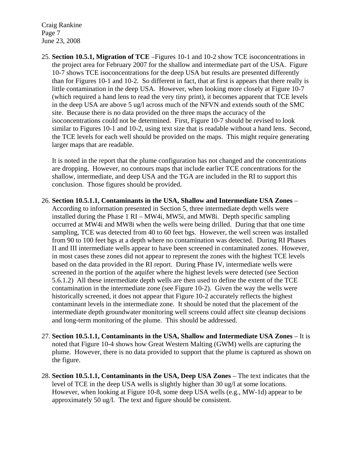Craig Rankine Page 7 June 23, 2008

25. **Section 10.5.1, Migration of TCE** –Figures 10-1 and 10-2 show TCE isoconcentrations in the project area for February 2007 for the shallow and intermediate part of the USA. Figure 10-7 shows TCE isoconcentrations for the deep USA but results are presented differently than for Figures 10-1 and 10-2. So different in fact, that at first is appears that there really is little contamination in the deep USA. However, when looking more closely at Figure 10-7 (which required a hand lens to read the very tiny print), it becomes apparent that TCE levels in the deep USA are above 5 ug/l across much of the NFVN and extends south of the SMC site. Because there is no data provided on the three maps the accuracy of the isoconcentrations could not be determined. First, Figure 10-7 should be revised to look similar to Figures 10-1 and 10-2, using text size that is readable without a hand lens. Second, the TCE levels for each well should be provided on the maps. This might require generating larger maps that are readable.

It is noted in the report that the plume configuration has not changed and the concentrations are dropping. However, no contours maps that include earlier TCE concentrations for the shallow, intermediate, and deep USA and the TGA are included in the RI to support this conclusion. Those figures should be provided.

- 26. **Section 10.5.1.1, Contaminants in the USA, Shallow and Intermediate USA Zones** According to information presented in Section 5, three intermediate depth wells were installed during the Phase 1 RI – MW4i, MW5i, and MW8i. Depth specific sampling occurred at MW4i and MW8i when the wells were being drilled. During that that one time sampling, TCE was detected from 40 to 60 feet bgs. However, the well screen was installed from 90 to 100 feet bgs at a depth where no contamination was detected. During RI Phases II and III intermediate wells appear to have been screened in contaminated zones. However, in most cases these zones did not appear to represent the zones with the highest TCE levels based on the data provided in the RI report. During Phase IV, intermediate wells were screened in the portion of the aquifer where the highest levels were detected (see Section 5.6.1.2) All these intermediate depth wells are then used to define the extent of the TCE contamination in the intermediate zone (see Figure 10-2). Given the way the wells were historically screened, it does not appear that Figure 10-2 accurately reflects the highest contaminant levels in the intermediate zone. It should be noted that the placement of the intermediate depth groundwater monitoring well screens could affect site cleanup decisions and long-term monitoring of the plume. This should be addressed.
- 27. **Section 10.5.1.1, Contaminants in the USA, Shallow and Intermediate USA Zones** It is noted that Figure 10-4 shows how Great Western Malting (GWM) wells are capturing the plume. However, there is no data provided to support that the plume is captured as shown on the figure.
- 28. **Section 10.5.1.1, Contaminants in the USA, Deep USA Zones** The text indicates that the level of TCE in the deep USA wells is slightly higher than 30 ug/l at some locations. However, when looking at Figure 10-8, some deep USA wells (e.g., MW-1d) appear to be approximately 50 ug/l. The text and figure should be consistent.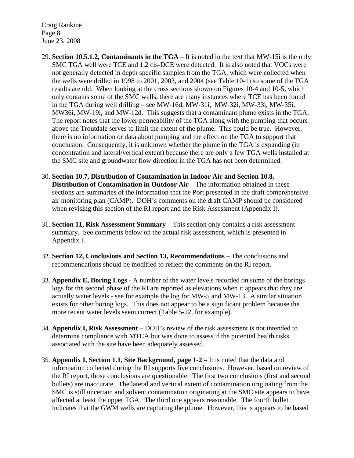Craig Rankine Page 8 June 23, 2008

- 29. **Section 10.5.1.2, Contaminants in the TGA** It is noted in the text that MW-15i is the only SMC TGA well were TCE and 1,2 cis-DCE were detected. It is also noted that VOCs were not generally detected in depth specific samples from the TGA, which were collected when the wells were drilled in 1998 to 2001, 2003, and 2004 (see Table 10-1) so some of the TGA results are old. When looking at the cross sections shown on Figures 10-4 and 10-5, which only contains some of the SMC wells, there are many instances where TCE has been found in the TGA during well drilling – see MW-16d, MW-31i, MW-32i, MW-33i, MW-35i, MW36i, MW-19i, and MW-12d. This suggests that a contaminant plume exists in the TGA. The report notes that the lower permeability of the TGA along with the pumping that occurs above the Troutdale serves to limit the extent of the plume. This could be true. However, there is no information or data about pumping and the effect on the TGA to support that conclusion. Consequently, it is unknown whether the plume in the TGA is expanding (in concentration and lateral/vertical extent) because there are only a few TGA wells installed at the SMC site and groundwater flow direction in the TGA has not been determined.
- 30. **Section 10.7, Distribution of Contamination in Indoor Air and Section 10.8, Distribution of Contamination in Outdoor Air** – The information obtained in these sections are summaries of the information that the Port presented in the draft comprehensive air monitoring plan (CAMP). DOH's comments on the draft CAMP should be considered when revising this section of the RI report and the Risk Assessment (Appendix I).
- 31. **Section 11, Risk Assessment Summary** This section only contains a risk assessment summary. See comments below on the actual risk assessment, which is presented in Appendix I.
- 32. **Section 12, Conclusions and Section 13, Recommendations**  The conclusions and recommendations should be modified to reflect the comments on the RI report.
- 33. **Appendix E, Boring Logs** A number of the water levels recorded on some of the borings logs for the second phase of the RI are reported as elevations when it appears that they are actually water levels - see for example the log for MW-5 and MW-13. A similar situation exists for other boring logs. This does not appear to be a significant problem because the more recent water levels seem correct (Table 5-22, for example).
- 34. **Appendix I, Risk Assessment** DOH's review of the risk assessment is not intended to determine compliance with MTCA but was done to assess if the potential health risks associated with the site have been adequately assessed.
- 35. **Appendix I, Section 1.1, Site Background, page 1-2** It is noted that the data and information collected during the RI supports five conclusions. However, based on review of the RI report, those conclusions are questionable. The first two conclusions (first and second bullets) are inaccurate. The lateral and vertical extent of contamination originating from the SMC is still uncertain and solvent contamination originating at the SMC site appears to have affected at least the upper TGA. The third one appears reasonable. The fourth bullet indicates that the GWM wells are capturing the plume. However, this is appears to be based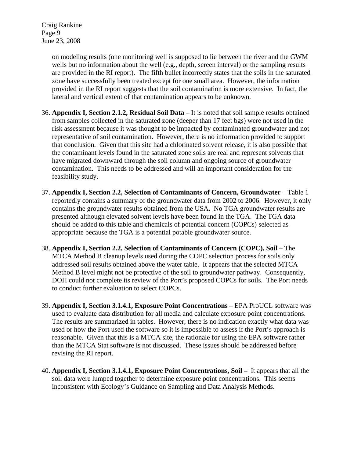Craig Rankine Page 9 June 23, 2008

> on modeling results (one monitoring well is supposed to lie between the river and the GWM wells but no information about the well (e.g., depth, screen interval) or the sampling results are provided in the RI report). The fifth bullet incorrectly states that the soils in the saturated zone have successfully been treated except for one small area. However, the information provided in the RI report suggests that the soil contamination is more extensive. In fact, the lateral and vertical extent of that contamination appears to be unknown.

- 36. **Appendix I, Section 2.1.2, Residual Soil Data** It is noted that soil sample results obtained from samples collected in the saturated zone (deeper than 17 feet bgs) were not used in the risk assessment because it was thought to be impacted by contaminated groundwater and not representative of soil contamination. However, there is no information provided to support that conclusion. Given that this site had a chlorinated solvent release, it is also possible that the contaminant levels found in the saturated zone soils are real and represent solvents that have migrated downward through the soil column and ongoing source of groundwater contamination. This needs to be addressed and will an important consideration for the feasibility study.
- 37. **Appendix I, Section 2.2, Selection of Contaminants of Concern, Groundwater** Table 1 reportedly contains a summary of the groundwater data from 2002 to 2006. However, it only contains the groundwater results obtained from the USA. No TGA groundwater results are presented although elevated solvent levels have been found in the TGA. The TGA data should be added to this table and chemicals of potential concern (COPCs) selected as appropriate because the TGA is a potential potable groundwater source.
- 38. **Appendix I, Section 2.2, Selection of Contaminants of Concern (COPC), Soil**  The MTCA Method B cleanup levels used during the COPC selection process for soils only addressed soil results obtained above the water table. It appears that the selected MTCA Method B level might not be protective of the soil to groundwater pathway. Consequently, DOH could not complete its review of the Port's proposed COPCs for soils. The Port needs to conduct further evaluation to select COPCs.
- 39. **Appendix I, Section 3.1.4.1, Exposure Point Concentrations** EPA ProUCL software was used to evaluate data distribution for all media and calculate exposure point concentrations. The results are summarized in tables. However, there is no indication exactly what data was used or how the Port used the software so it is impossible to assess if the Port's approach is reasonable. Given that this is a MTCA site, the rationale for using the EPA software rather than the MTCA Stat software is not discussed. These issues should be addressed before revising the RI report.
- 40. **Appendix I, Section 3.1.4.1, Exposure Point Concentrations, Soil –** It appears that all the soil data were lumped together to determine exposure point concentrations. This seems inconsistent with Ecology's Guidance on Sampling and Data Analysis Methods.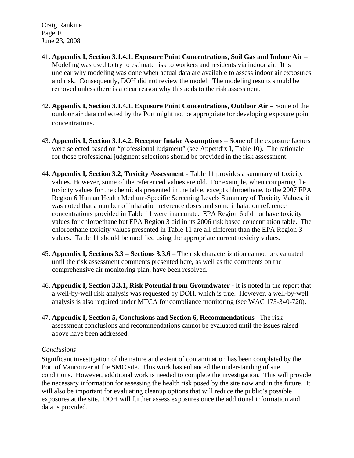Craig Rankine Page 10 June 23, 2008

- 41. **Appendix I, Section 3.1.4.1, Exposure Point Concentrations, Soil Gas and Indoor Air**  Modeling was used to try to estimate risk to workers and residents via indoor air. It is unclear why modeling was done when actual data are available to assess indoor air exposures and risk. Consequently, DOH did not review the model. The modeling results should be removed unless there is a clear reason why this adds to the risk assessment.
- 42. **Appendix I, Section 3.1.4.1, Exposure Point Concentrations, Outdoor Air**  Some of the outdoor air data collected by the Port might not be appropriate for developing exposure point concentrations.
- 43. **Appendix I, Section 3.1.4.2, Receptor Intake Assumptions**  Some of the exposure factors were selected based on "professional judgment" (see Appendix I, Table 10). The rationale for those professional judgment selections should be provided in the risk assessment.
- 44. **Appendix I, Section 3.2, Toxicity Assessment**  Table 11 provides a summary of toxicity values. However, some of the referenced values are old. For example, when comparing the toxicity values for the chemicals presented in the table, except chloroethane, to the 2007 EPA Region 6 Human Health Medium-Specific Screening Levels Summary of Toxicity Values, it was noted that a number of inhalation reference doses and some inhalation reference concentrations provided in Table 11 were inaccurate. EPA Region 6 did not have toxicity values for chloroethane but EPA Region 3 did in its 2006 risk based concentration table. The chloroethane toxicity values presented in Table 11 are all different than the EPA Region 3 values. Table 11 should be modified using the appropriate current toxicity values.
- 45. **Appendix I, Sections 3.3 Sections 3.3.6**  The risk characterization cannot be evaluated until the risk assessment comments presented here, as well as the comments on the comprehensive air monitoring plan, have been resolved.
- 46. **Appendix I, Section 3.3.1, Risk Potential from Groundwater**  It is noted in the report that a well-by-well risk analysis was requested by DOH, which is true. However, a well-by-well analysis is also required under MTCA for compliance monitoring (see WAC 173-340-720).
- 47. **Appendix I, Section 5, Conclusions and Section 6, Recommendations** The risk assessment conclusions and recommendations cannot be evaluated until the issues raised above have been addressed.

### *Conclusions*

Significant investigation of the nature and extent of contamination has been completed by the Port of Vancouver at the SMC site. This work has enhanced the understanding of site conditions. However, additional work is needed to complete the investigation. This will provide the necessary information for assessing the health risk posed by the site now and in the future. It will also be important for evaluating cleanup options that will reduce the public's possible exposures at the site. DOH will further assess exposures once the additional information and data is provided.